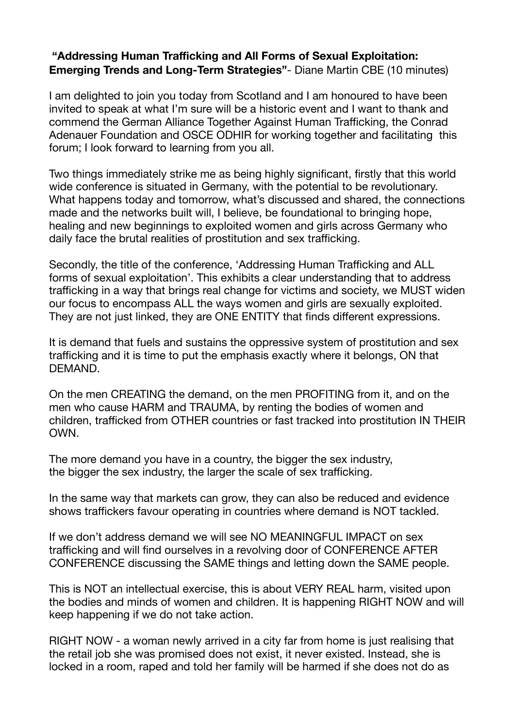## **"Addressing Human Trafficking and All Forms of Sexual Exploitation: Emerging Trends and Long-Term Strategies"**- Diane Martin CBE (10 minutes)

I am delighted to join you today from Scotland and I am honoured to have been invited to speak at what I'm sure will be a historic event and I want to thank and commend the German Alliance Together Against Human Trafficking, the Conrad Adenauer Foundation and OSCE ODHIR for working together and facilitating this forum; I look forward to learning from you all.

Two things immediately strike me as being highly significant, firstly that this world wide conference is situated in Germany, with the potential to be revolutionary. What happens today and tomorrow, what's discussed and shared, the connections made and the networks built will, I believe, be foundational to bringing hope, healing and new beginnings to exploited women and girls across Germany who daily face the brutal realities of prostitution and sex trafficking.

Secondly, the title of the conference, 'Addressing Human Trafficking and ALL forms of sexual exploitation'. This exhibits a clear understanding that to address trafficking in a way that brings real change for victims and society, we MUST widen our focus to encompass ALL the ways women and girls are sexually exploited. They are not just linked, they are ONE ENTITY that finds different expressions.

It is demand that fuels and sustains the oppressive system of prostitution and sex trafficking and it is time to put the emphasis exactly where it belongs, ON that DEMAND.

On the men CREATING the demand, on the men PROFITING from it, and on the men who cause HARM and TRAUMA, by renting the bodies of women and children, trafficked from OTHER countries or fast tracked into prostitution IN THEIR **OWN** 

The more demand you have in a country, the bigger the sex industry, the bigger the sex industry, the larger the scale of sex trafficking.

In the same way that markets can grow, they can also be reduced and evidence shows traffickers favour operating in countries where demand is NOT tackled.

If we don't address demand we will see NO MEANINGFUL IMPACT on sex trafficking and will find ourselves in a revolving door of CONFERENCE AFTER CONFERENCE discussing the SAME things and letting down the SAME people.

This is NOT an intellectual exercise, this is about VERY REAL harm, visited upon the bodies and minds of women and children. It is happening RIGHT NOW and will keep happening if we do not take action.

RIGHT NOW - a woman newly arrived in a city far from home is just realising that the retail job she was promised does not exist, it never existed. Instead, she is locked in a room, raped and told her family will be harmed if she does not do as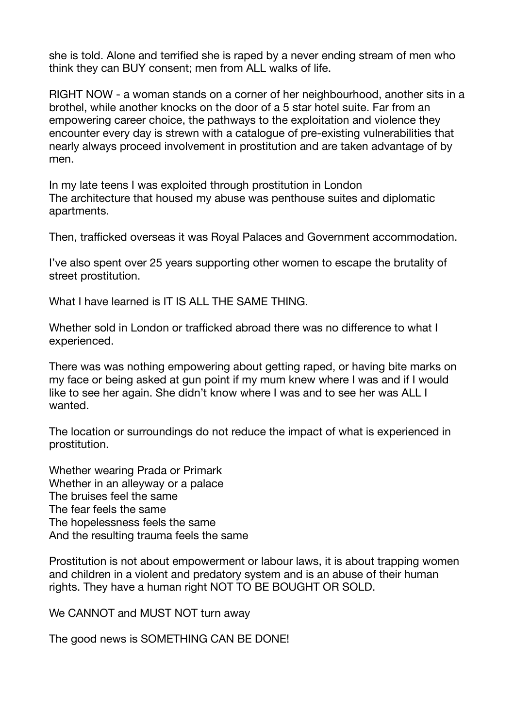she is told. Alone and terrified she is raped by a never ending stream of men who think they can BUY consent; men from ALL walks of life.

RIGHT NOW - a woman stands on a corner of her neighbourhood, another sits in a brothel, while another knocks on the door of a 5 star hotel suite. Far from an empowering career choice, the pathways to the exploitation and violence they encounter every day is strewn with a catalogue of pre-existing vulnerabilities that nearly always proceed involvement in prostitution and are taken advantage of by men.

In my late teens I was exploited through prostitution in London The architecture that housed my abuse was penthouse suites and diplomatic apartments.

Then, trafficked overseas it was Royal Palaces and Government accommodation.

I've also spent over 25 years supporting other women to escape the brutality of street prostitution.

What I have learned is IT IS ALL THE SAME THING.

Whether sold in London or trafficked abroad there was no difference to what I experienced.

There was was nothing empowering about getting raped, or having bite marks on my face or being asked at gun point if my mum knew where I was and if I would like to see her again. She didn't know where I was and to see her was ALL I wanted.

The location or surroundings do not reduce the impact of what is experienced in prostitution.

Whether wearing Prada or Primark Whether in an alleyway or a palace The bruises feel the same The fear feels the same The hopelessness feels the same And the resulting trauma feels the same

Prostitution is not about empowerment or labour laws, it is about trapping women and children in a violent and predatory system and is an abuse of their human rights. They have a human right NOT TO BE BOUGHT OR SOLD.

We CANNOT and MUST NOT turn away

The good news is SOMETHING CAN BE DONE!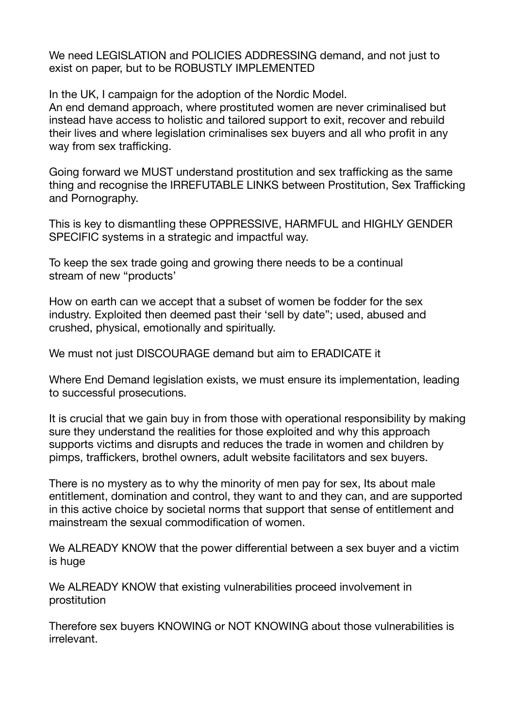We need LEGISLATION and POLICIES ADDRESSING demand, and not just to exist on paper, but to be ROBUSTLY IMPLEMENTED

In the UK, I campaign for the adoption of the Nordic Model.

An end demand approach, where prostituted women are never criminalised but instead have access to holistic and tailored support to exit, recover and rebuild their lives and where legislation criminalises sex buyers and all who profit in any way from sex trafficking.

Going forward we MUST understand prostitution and sex trafficking as the same thing and recognise the IRREFUTABLE LINKS between Prostitution, Sex Trafficking and Pornography.

This is key to dismantling these OPPRESSIVE, HARMFUL and HIGHLY GENDER SPECIFIC systems in a strategic and impactful way.

To keep the sex trade going and growing there needs to be a continual stream of new "products'

How on earth can we accept that a subset of women be fodder for the sex industry. Exploited then deemed past their 'sell by date"; used, abused and crushed, physical, emotionally and spiritually.

We must not just DISCOURAGE demand but aim to ERADICATE it

Where End Demand legislation exists, we must ensure its implementation, leading to successful prosecutions.

It is crucial that we gain buy in from those with operational responsibility by making sure they understand the realities for those exploited and why this approach supports victims and disrupts and reduces the trade in women and children by pimps, traffickers, brothel owners, adult website facilitators and sex buyers.

There is no mystery as to why the minority of men pay for sex, Its about male entitlement, domination and control, they want to and they can, and are supported in this active choice by societal norms that support that sense of entitlement and mainstream the sexual commodification of women.

We ALREADY KNOW that the power differential between a sex buyer and a victim is huge

We ALREADY KNOW that existing vulnerabilities proceed involvement in prostitution

Therefore sex buyers KNOWING or NOT KNOWING about those vulnerabilities is irrelevant.